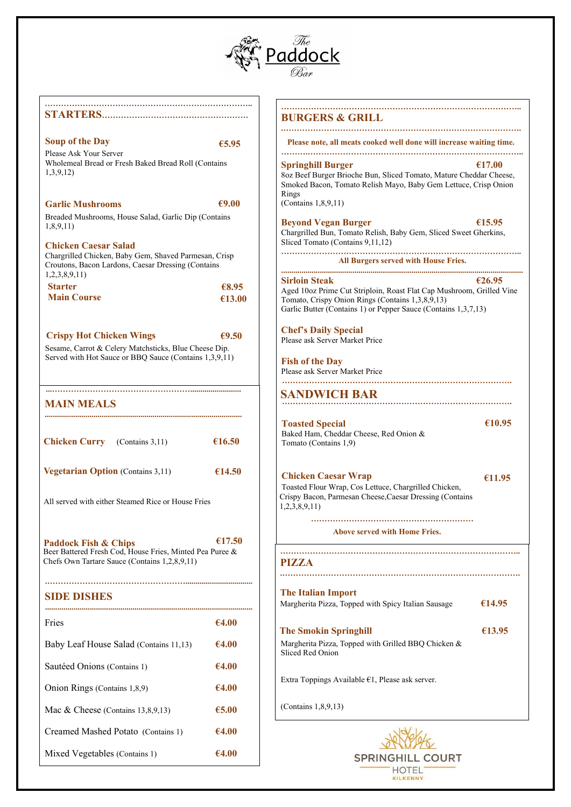

#### **………………………………………………………………….. STARTERS………………………………………………**

## **Soup of the Day €5.95**

Please Ask Your Server Wholemeal Bread or Fresh Baked Bread Roll (Contains 1,3,9,12)

## **Garlic Mushrooms €9.00**

Breaded Mushrooms, House Salad, Garlic Dip (Contains 1,8,9,11)

#### **Chicken Caesar Salad**

Chargrilled Chicken, Baby Gem, Shaved Parmesan, Crisp Croutons, Bacon Lardons, Caesar Dressing (Contains 1,2,3,8,9,11)

| <b>Starter</b>     | €8.95  |
|--------------------|--------|
| <b>Main Course</b> | €13.00 |

## **Crispy Hot Chicken Wings €9.50**

Sesame, Carrot & Celery Matchsticks, Blue Cheese Dip. Served with Hot Sauce or BBQ Sauce (Contains 1,3,9,11) **……………………………………………………………………………..**

#### **BURGERS & GRILL .…………………………………………………………………………….**

 **Please note, all meats cooked well done will increase waiting time. ……….……………………………………………………………………..**

## **Springhill Burger €17.00**

8oz Beef Burger Brioche Bun, Sliced Tomato, Mature Cheddar Cheese, Smoked Bacon, Tomato Relish Mayo, Baby Gem Lettuce, Crisp Onion Rings (Contains 1,8,9,11)

#### **Beyond Vegan Burger** €15.95

Chargrilled Bun, Tomato Relish, Baby Gem, Sliced Sweet Gherkins, Sliced Tomato (Contains 9,11,12)

#### **…………………………………………………………………………….. All Burgers served with House Fries.**

**....................................................................................................................... Sirloin Steak €26.95** Aged 10oz Prime Cut Striploin, Roast Flat Cap Mushroom, Grilled Vine Tomato, Crispy Onion Rings (Contains 1,3,8,9,13) Garlic Butter (Contains 1) or Pepper Sauce (Contains 1,3,7,13)

## **Chef's Daily Special**

Please ask Server Market Price

**Fish of the Day** Please ask Server Market Price **………………………………………………………………………….** 

**SANDWICH BAR ………………………………………………………………………….** 

**€10.95** 

**€11.95** 

#### **Above served with Home Fries.**

**...…………………………………………….........................** 

## **MAIN MEALS**

**.................................................................................................** 

| <b>Chicken Curry</b> (Contains 3,11)     | €16.50 |
|------------------------------------------|--------|
| <b>Vegetarian Option</b> (Contains 3,11) | €14.50 |

All served with either Steamed Rice or House Fries

**Paddock Fish & Chips €17.50** Beer Battered Fresh Cod, House Fries, Minted Pea Puree & Chefs Own Tartare Sauce (Contains 1,2,8,9,11)

**.…………………………………………….................................** 

## **SIDE DISHES**

| Fries                                  | €4.00 |
|----------------------------------------|-------|
| Baby Leaf House Salad (Contains 11,13) | €4.00 |
| Sautéed Onions (Contains 1)            | €4.00 |
| Onion Rings (Contains 1,8,9)           | €4.00 |
| Mac & Cheese (Contains $13,8,9,13$ )   | €5.00 |
| Creamed Mashed Potato (Contains 1)     | €4.00 |
| Mixed Vegetables (Contains 1)          | €4.00 |

#### **…………………………………………………………………………….. PIZZA**

**.…………………………………………………………………………….** 

 **€14.95**  Margherita Pizza, Topped with Spicy Italian Sausage **The Italian Import**

## **The Smokin Springhill €13.95**

Margherita Pizza, Topped with Grilled BBQ Chicken & Sliced Red Onion

Extra Toppings Available €1, Please ask server.

(Contains 1,8,9,13)



**Toasted Special**  Baked Ham, Cheddar Cheese, Red Onion & Tomato (Contains 1,9)

## **Chicken Caesar Wrap**

Toasted Flour Wrap, Cos Lettuce, Chargrilled Chicken, Crispy Bacon, Parmesan Cheese,Caesar Dressing (Contains 1,2,3,8,9,11)

## ………………………………………………………………………